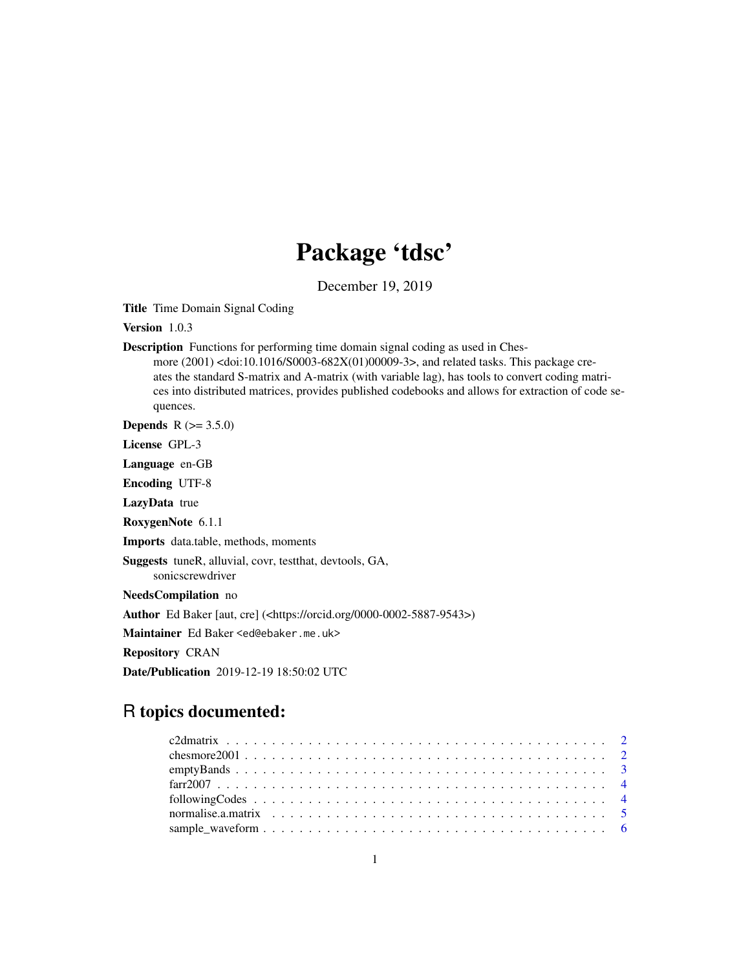## Package 'tdsc'

December 19, 2019

Title Time Domain Signal Coding

Version 1.0.3

Description Functions for performing time domain signal coding as used in Ches-

more (2001) <doi:10.1016/S0003-682X(01)00009-3>, and related tasks. This package creates the standard S-matrix and A-matrix (with variable lag), has tools to convert coding matrices into distributed matrices, provides published codebooks and allows for extraction of code sequences.

**Depends**  $R (= 3.5.0)$ 

License GPL-3

Language en-GB

Encoding UTF-8

LazyData true

RoxygenNote 6.1.1

Imports data.table, methods, moments

Suggests tuneR, alluvial, covr, testthat, devtools, GA,

sonicscrewdriver

NeedsCompilation no

Author Ed Baker [aut, cre] (<https://orcid.org/0000-0002-5887-9543>)

Maintainer Ed Baker <ed@ebaker.me.uk>

Repository CRAN

Date/Publication 2019-12-19 18:50:02 UTC

### R topics documented: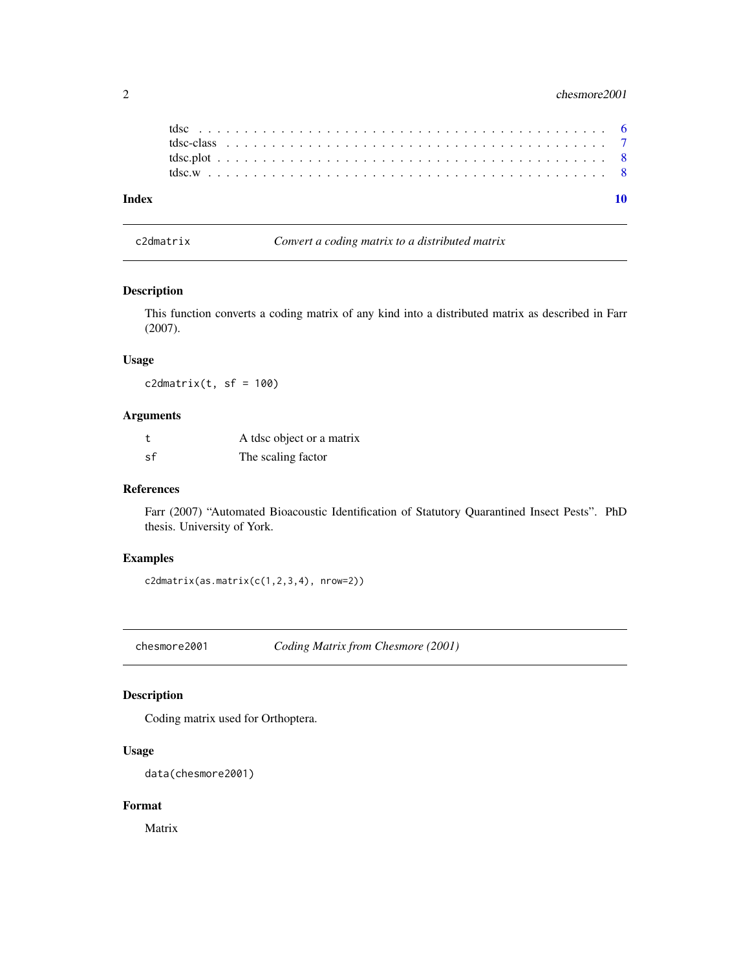<span id="page-1-0"></span>

| Index |  |  |  |  |  |  |  |  |  |  |  |  |  |  |  |  |  |  |  |  |  |  |
|-------|--|--|--|--|--|--|--|--|--|--|--|--|--|--|--|--|--|--|--|--|--|--|

c2dmatrix *Convert a coding matrix to a distributed matrix*

#### Description

This function converts a coding matrix of any kind into a distributed matrix as described in Farr (2007).

#### Usage

 $c2$ dmatrix(t, sf = 100)

#### Arguments

|    | A tdsc object or a matrix |
|----|---------------------------|
| sf | The scaling factor        |

#### References

Farr (2007) "Automated Bioacoustic Identification of Statutory Quarantined Insect Pests". PhD thesis. University of York.

#### Examples

 $c2$ dmatrix(as.matrix( $c(1,2,3,4)$ , nrow=2))

chesmore2001 *Coding Matrix from Chesmore (2001)*

#### Description

Coding matrix used for Orthoptera.

#### Usage

data(chesmore2001)

#### Format

Matrix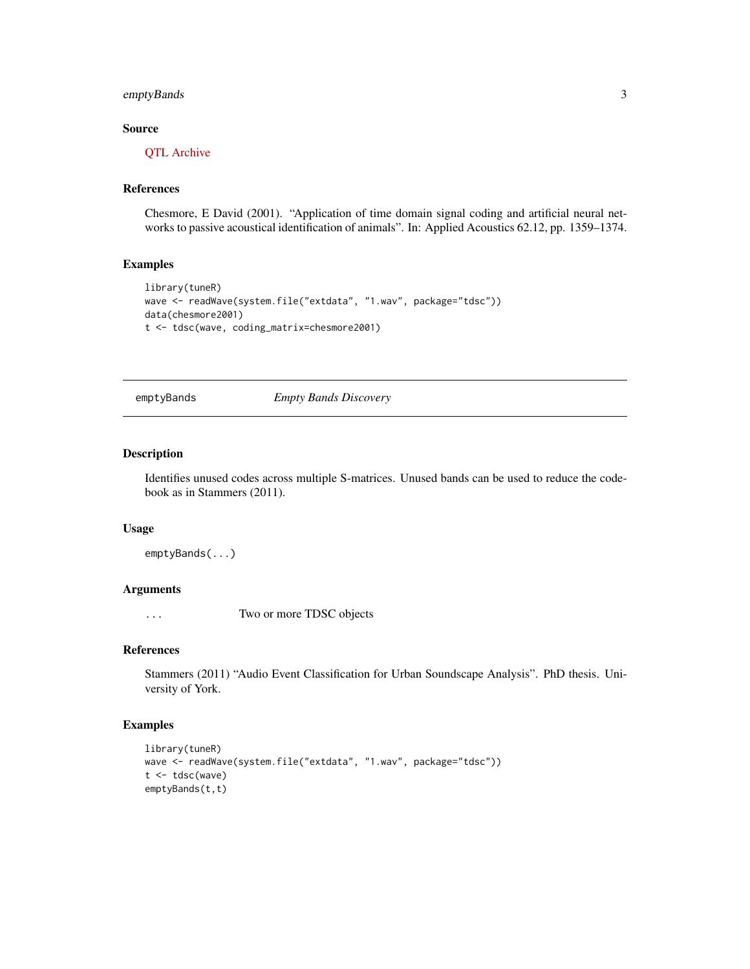#### <span id="page-2-0"></span>emptyBands 3

#### Source

[QTL Archive](https://phenome.jax.org/projects/Moore1b)

#### References

Chesmore, E David (2001). "Application of time domain signal coding and artificial neural networks to passive acoustical identification of animals". In: Applied Acoustics 62.12, pp. 1359–1374.

#### Examples

```
library(tuneR)
wave <- readWave(system.file("extdata", "1.wav", package="tdsc"))
data(chesmore2001)
t <- tdsc(wave, coding_matrix=chesmore2001)
```
emptyBands *Empty Bands Discovery*

#### Description

Identifies unused codes across multiple S-matrices. Unused bands can be used to reduce the codebook as in Stammers (2011).

#### Usage

emptyBands(...)

#### Arguments

... Two or more TDSC objects

#### References

Stammers (2011) "Audio Event Classification for Urban Soundscape Analysis". PhD thesis. University of York.

#### Examples

```
library(tuneR)
wave <- readWave(system.file("extdata", "1.wav", package="tdsc"))
t <- tdsc(wave)
emptyBands(t,t)
```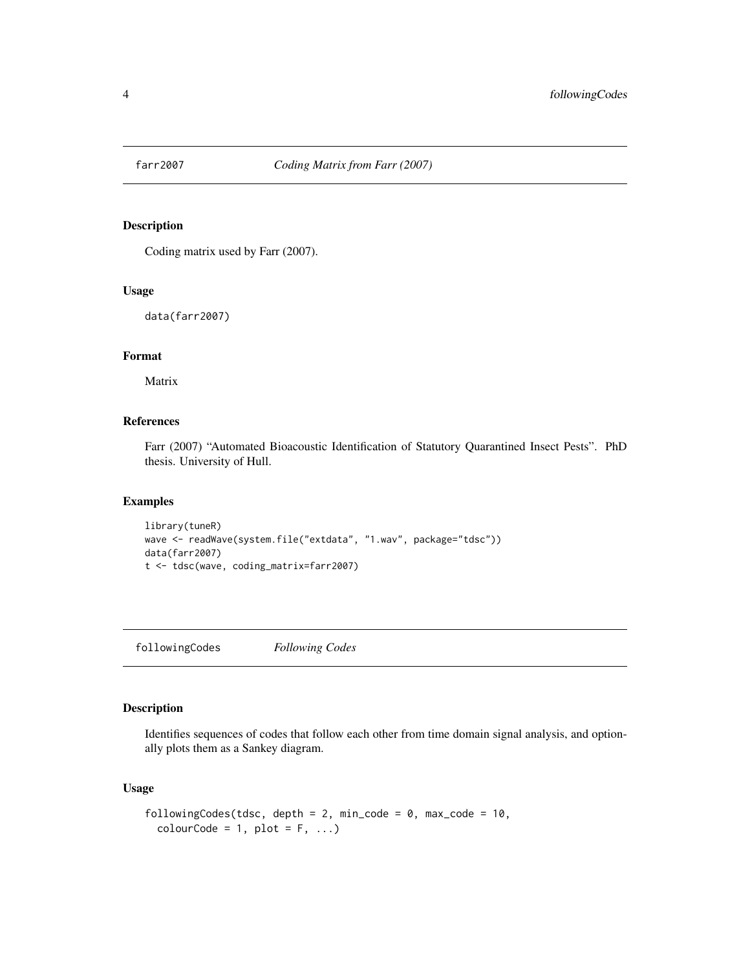<span id="page-3-0"></span>

#### Description

Coding matrix used by Farr (2007).

#### Usage

data(farr2007)

#### Format

Matrix

#### References

Farr (2007) "Automated Bioacoustic Identification of Statutory Quarantined Insect Pests". PhD thesis. University of Hull.

#### Examples

```
library(tuneR)
wave <- readWave(system.file("extdata", "1.wav", package="tdsc"))
data(farr2007)
t <- tdsc(wave, coding_matrix=farr2007)
```
followingCodes *Following Codes*

#### Description

Identifies sequences of codes that follow each other from time domain signal analysis, and optionally plots them as a Sankey diagram.

#### Usage

```
followingCodes(tdsc, depth = 2, min_code = 0, max_code = 10,
  colourCode = 1, plot = F, ...)
```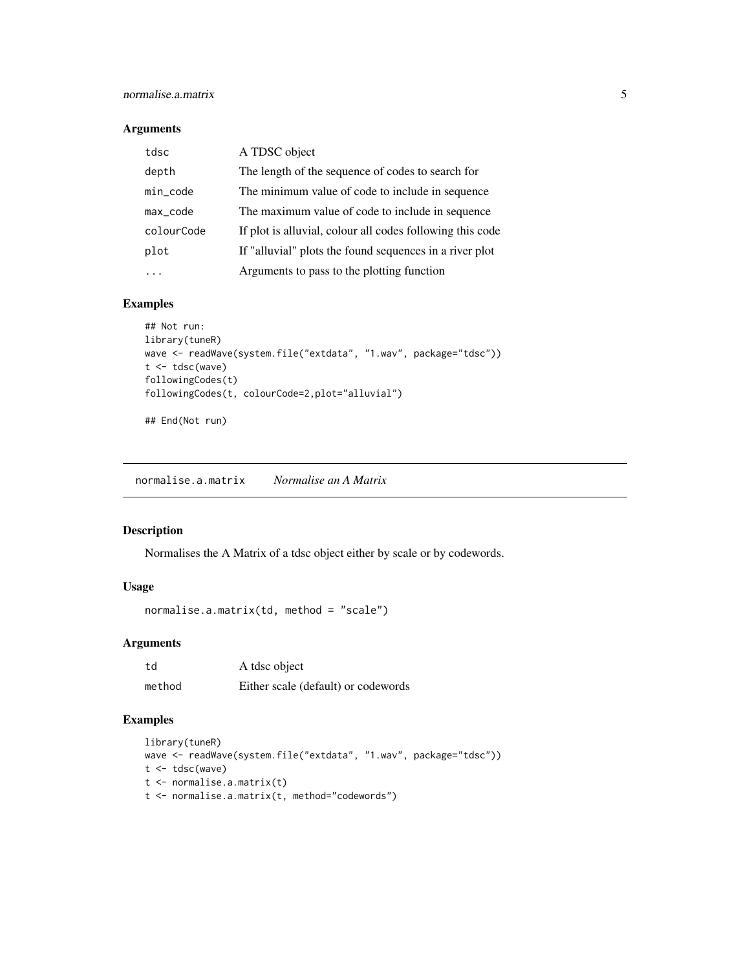#### <span id="page-4-0"></span>Arguments

| tdsc       | A TDSC object                                             |
|------------|-----------------------------------------------------------|
| depth      | The length of the sequence of codes to search for         |
| min_code   | The minimum value of code to include in sequence          |
| max_code   | The maximum value of code to include in sequence          |
| colourCode | If plot is alluvial, colour all codes following this code |
| plot       | If "alluvial" plots the found sequences in a river plot   |
|            | Arguments to pass to the plotting function                |

#### Examples

```
## Not run:
library(tuneR)
wave <- readWave(system.file("extdata", "1.wav", package="tdsc"))
t <- tdsc(wave)
followingCodes(t)
followingCodes(t, colourCode=2,plot="alluvial")
```
## End(Not run)

normalise.a.matrix *Normalise an A Matrix*

#### Description

Normalises the A Matrix of a tdsc object either by scale or by codewords.

#### Usage

```
normalise.a.matrix(td, method = "scale")
```
#### Arguments

| td     | A tdsc object                       |
|--------|-------------------------------------|
| method | Either scale (default) or codewords |

#### Examples

```
library(tuneR)
wave <- readWave(system.file("extdata", "1.wav", package="tdsc"))
t <- tdsc(wave)
t <- normalise.a.matrix(t)
t <- normalise.a.matrix(t, method="codewords")
```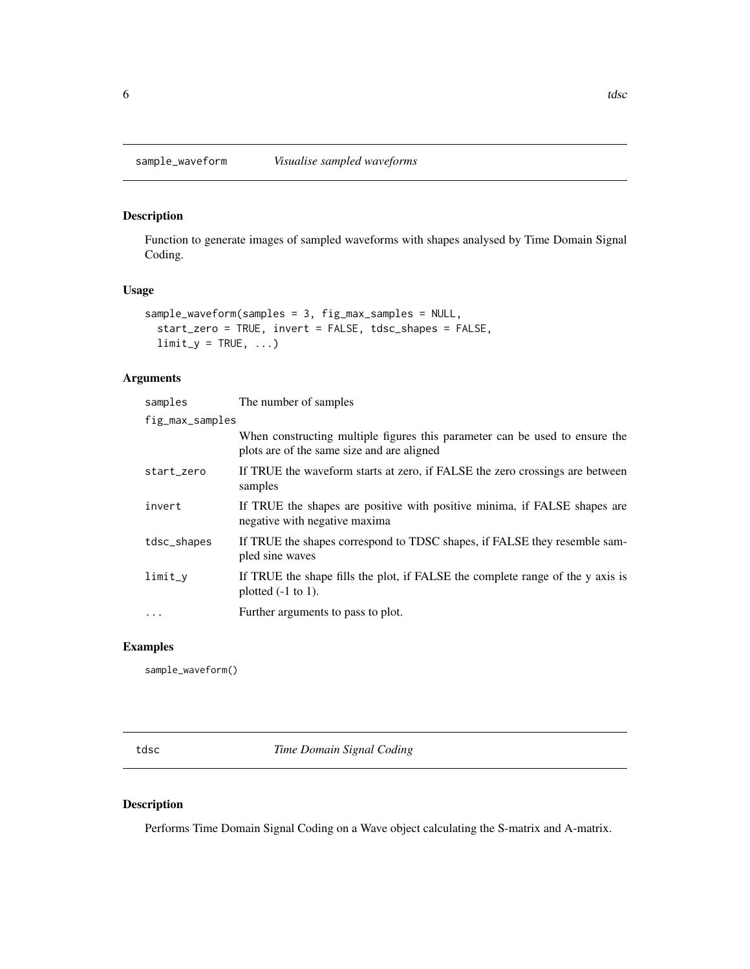<span id="page-5-0"></span>

#### Description

Function to generate images of sampled waveforms with shapes analysed by Time Domain Signal Coding.

#### Usage

```
sample_waveform(samples = 3, fig_max_samples = NULL,
 start_zero = TRUE, invert = FALSE, tdsc_shapes = FALSE,
 limit_y = TRUE, ...
```
#### Arguments

| samples         | The number of samples                                                                                                     |
|-----------------|---------------------------------------------------------------------------------------------------------------------------|
| fig_max_samples |                                                                                                                           |
|                 | When constructing multiple figures this parameter can be used to ensure the<br>plots are of the same size and are aligned |
| start_zero      | If TRUE the waveform starts at zero, if FALSE the zero crossings are between<br>samples                                   |
| invert          | If TRUE the shapes are positive with positive minima, if FALSE shapes are<br>negative with negative maxima                |
| tdsc_shapes     | If TRUE the shapes correspond to TDSC shapes, if FALSE they resemble sam-<br>pled sine waves                              |
| $limit_y$       | If TRUE the shape fills the plot, if FALSE the complete range of the y axis is<br>plotted $(-1)$ to 1.                    |
| $\cdots$        | Further arguments to pass to plot.                                                                                        |

#### Examples

sample\_waveform()

tdsc *Time Domain Signal Coding*

#### Description

Performs Time Domain Signal Coding on a Wave object calculating the S-matrix and A-matrix.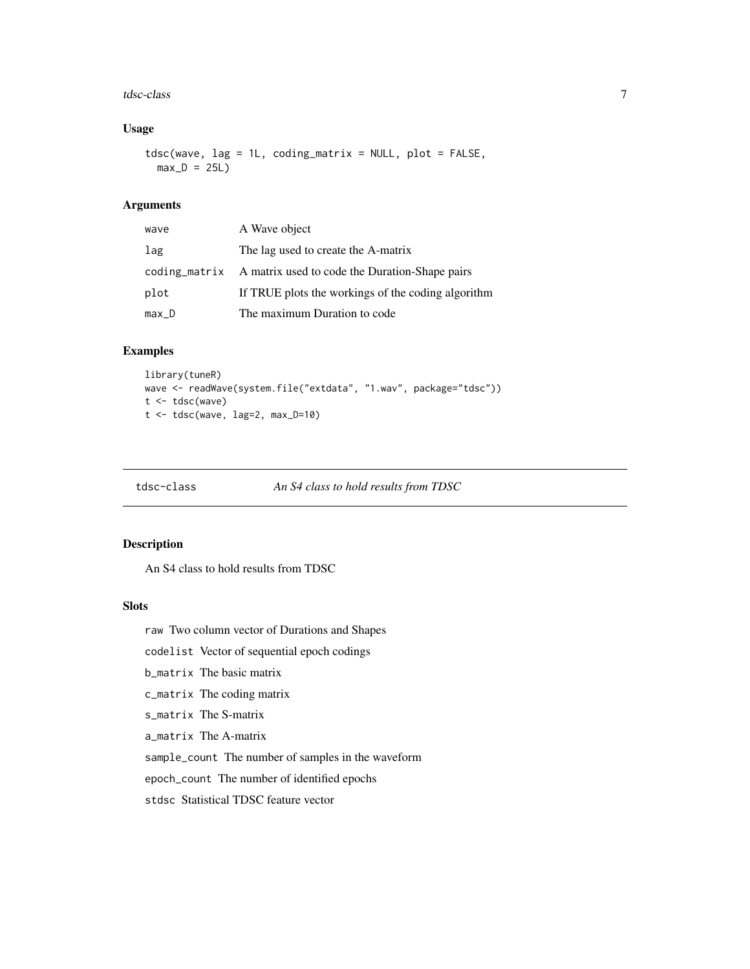#### <span id="page-6-0"></span>tdsc-class 7

#### Usage

tdsc(wave, lag = 1L, coding\_matrix = NULL, plot = FALSE,  $max_D = 25L$ 

#### Arguments

| wave    | A Wave object                                                |
|---------|--------------------------------------------------------------|
| lag     | The lag used to create the A-matrix                          |
|         | coding_matrix A matrix used to code the Duration-Shape pairs |
| plot    | If TRUE plots the workings of the coding algorithm           |
| $max_D$ | The maximum Duration to code                                 |

#### Examples

```
library(tuneR)
wave <- readWave(system.file("extdata", "1.wav", package="tdsc"))
t <- tdsc(wave)
t <- tdsc(wave, lag=2, max_D=10)
```

```
tdsc-class An S4 class to hold results from TDSC
```
#### Description

An S4 class to hold results from TDSC

#### Slots

raw Two column vector of Durations and Shapes

codelist Vector of sequential epoch codings

b\_matrix The basic matrix

c\_matrix The coding matrix

s\_matrix The S-matrix

a\_matrix The A-matrix

sample\_count The number of samples in the waveform

epoch\_count The number of identified epochs

stdsc Statistical TDSC feature vector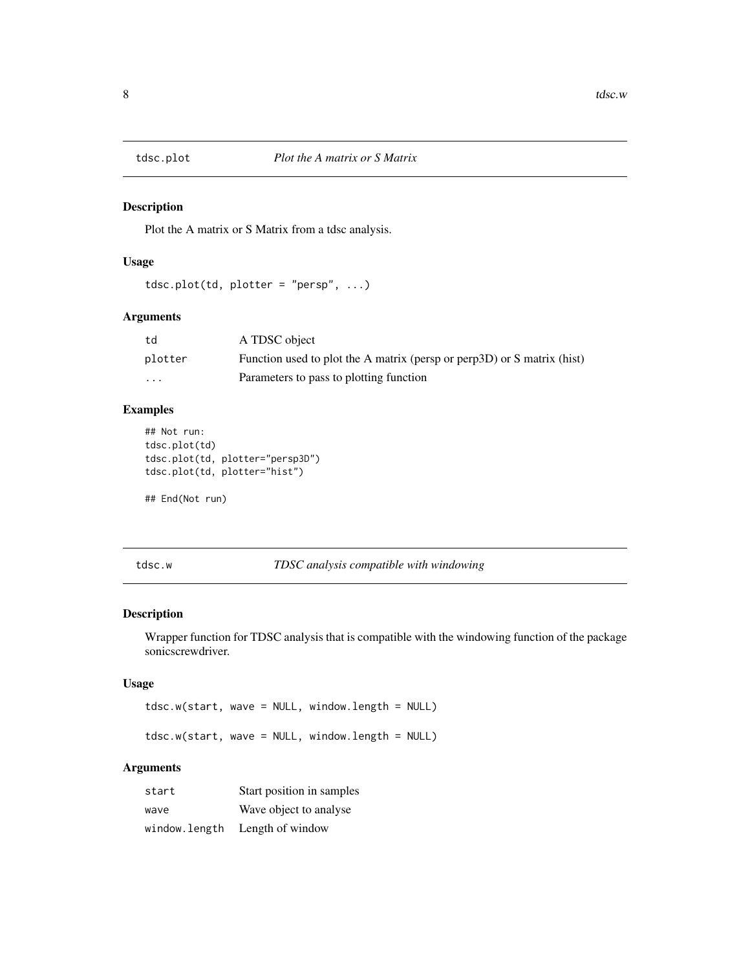<span id="page-7-0"></span>

#### Description

Plot the A matrix or S Matrix from a tdsc analysis.

#### Usage

```
tdsc.plot(td, plotter = "persp", ...)
```
#### Arguments

| td                      | A TDSC object                                                           |
|-------------------------|-------------------------------------------------------------------------|
| plotter                 | Function used to plot the A matrix (persp or perp3D) or S matrix (hist) |
| $\cdot$ $\cdot$ $\cdot$ | Parameters to pass to plotting function                                 |

#### Examples

```
## Not run:
tdsc.plot(td)
tdsc.plot(td, plotter="persp3D")
tdsc.plot(td, plotter="hist")
```
## End(Not run)

tdsc.w *TDSC analysis compatible with windowing*

#### Description

Wrapper function for TDSC analysis that is compatible with the windowing function of the package sonicscrewdriver.

#### Usage

```
tdsc.w(start, wave = NULL, window.length = NULL)
```
tdsc.w(start, wave = NULL, window.length = NULL)

#### Arguments

| start         | Start position in samples |
|---------------|---------------------------|
| wave          | Wave object to analyse    |
| window.length | Length of window          |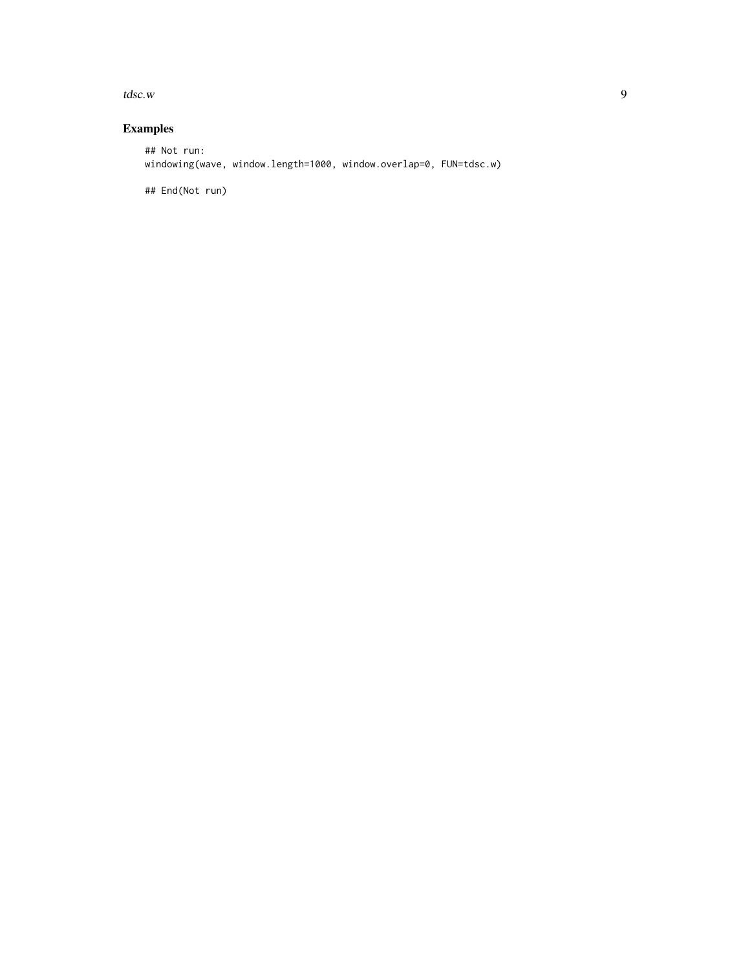$t$ dsc.w 9

#### Examples

## Not run: windowing(wave, window.length=1000, window.overlap=0, FUN=tdsc.w)

## End(Not run)